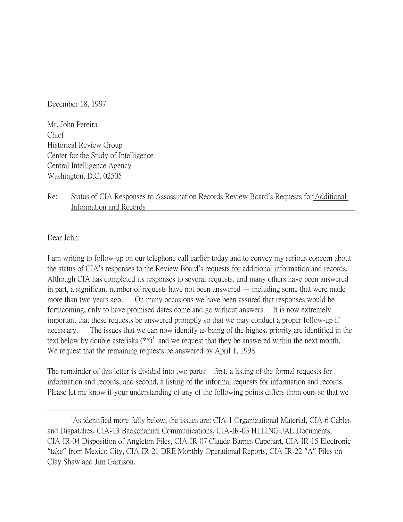December 18, 1997

Mr. John Pereira Chief Historical Review Group Center for the Study of Intelligence Central Intelligence Agency Washington, D.C. 02505

Re: Status of CIA Responses to Assassination Records Review Board's Requests for Additional Information and Records

Dear John:

 $\overline{a}$ 

I am writing to follow-up on our telephone call earlier today and to convey my serious concern about the status of CIA's responses to the Review Board's requests for additional information and records. Although CIA has completed its responses to several requests, and many others have been answered in part, a significant number of requests have not been answered — including some that were made more than two years ago. On many occasions we have been assured that responses would be forthcoming, only to have promised dates come and go without answers. It is now extremely important that these requests be answered promptly so that we may conduct a proper follow-up if necessary. The issues that we can now identify as being of the highest priority are identified in the text below by double asterisks  $(**)^1$  and we request that they be answered within the next month. We request that the remaining requests be answered by April 1, 1998.

The remainder of this letter is divided into two parts: first, a listing of the formal requests for information and records, and second, a listing of the informal requests for information and records. Please let me know if your understanding of any of the following points differs from ours so that we

<sup>&</sup>lt;sup>1</sup>As identified more fully below, the issues are: CIA-1 Organizational Material, CIA-6 Cables and Dispatches, CIA-13 Backchannel Communications, CIA-IR-03 HTLINGUAL Documents, CIA-IR-04 Disposition of Angleton Files, CIA-IR-07 Claude Barnes Capehart, CIA-IR-15 Electronic "take" from Mexico City, CIA-IR-21 DRE Monthly Operational Reports, CIA-IR-22 "A" Files on Clay Shaw and Jim Garrison.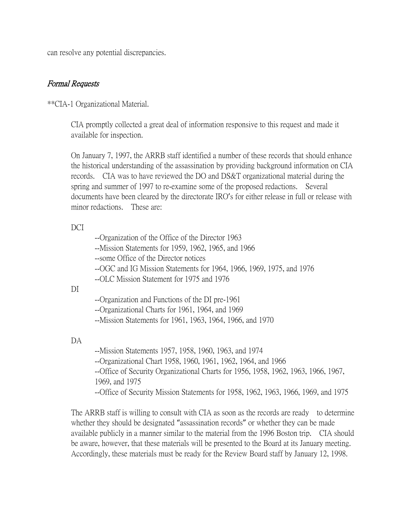can resolve any potential discrepancies.

### Formal Requests

\*\*CIA-1 Organizational Material.

CIA promptly collected a great deal of information responsive to this request and made it available for inspection.

On January 7, 1997, the ARRB staff identified a number of these records that should enhance the historical understanding of the assassination by providing background information on CIA records. CIA was to have reviewed the DO and DS&T organizational material during the spring and summer of 1997 to re-examine some of the proposed redactions. Several documents have been cleared by the directorate IRO's for either release in full or release with minor redactions. These are:

## DCI

|    | --Organization of the Office of the Director 1963<br>--Mission Statements for 1959, 1962, 1965, and 1966<br>--some Office of the Director notices<br>--OGC and IG Mission Statements for 1964, 1966, 1969, 1975, and 1976<br>--OLC Mission Statement for 1975 and 1976                                               |
|----|----------------------------------------------------------------------------------------------------------------------------------------------------------------------------------------------------------------------------------------------------------------------------------------------------------------------|
| DI | --Organization and Functions of the DI pre-1961<br>--Organizational Charts for 1961, 1964, and 1969<br>--Mission Statements for 1961, 1963, 1964, 1966, and 1970                                                                                                                                                     |
| DA | --Mission Statements 1957, 1958, 1960, 1963, and 1974<br>--Organizational Chart 1958, 1960, 1961, 1962, 1964, and 1966<br>--Office of Security Organizational Charts for 1956, 1958, 1962, 1963, 1966, 1967,<br>1969, and 1975<br>--Office of Security Mission Statements for 1958, 1962, 1963, 1966, 1969, and 1975 |

The ARRB staff is willing to consult with CIA as soon as the records are ready to determine whether they should be designated "assassination records" or whether they can be made available publicly in a manner similar to the material from the 1996 Boston trip. CIA should be aware, however, that these materials will be presented to the Board at its January meeting. Accordingly, these materials must be ready for the Review Board staff by January 12, 1998.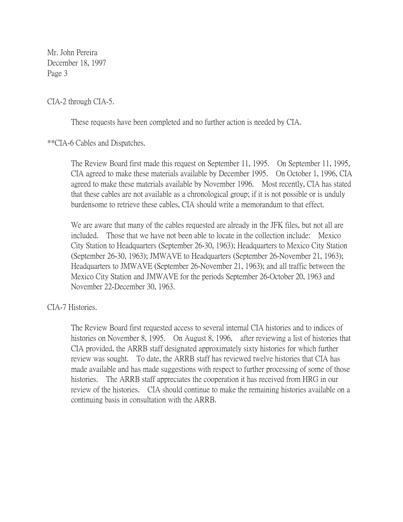CIA-2 through CIA-5.

These requests have been completed and no further action is needed by CIA.

\*\*CIA-6 Cables and Dispatches.

The Review Board first made this request on September 11, 1995. On September 11, 1995, CIA agreed to make these materials available by December 1995. On October 1, 1996, CIA agreed to make these materials available by November 1996. Most recently, CIA has stated that these cables are not available as a chronological group; if it is not possible or is unduly burdensome to retrieve these cables, CIA should write a memorandum to that effect.

We are aware that many of the cables requested are already in the JFK files, but not all are included. Those that we have not been able to locate in the collection include: Mexico City Station to Headquarters (September 26-30, 1963); Headquarters to Mexico City Station (September 26-30, 1963); JMWAVE to Headquarters (September 26-November 21, 1963); Headquarters to JMWAVE (September 26-November 21, 1963); and all traffic between the Mexico City Station and JMWAVE for the periods September 26-October 20, 1963 and November 22-December 30, 1963.

CIA-7 Histories.

The Review Board first requested access to several internal CIA histories and to indices of histories on November 8, 1995. On August 8, 1996, after reviewing a list of histories that CIA provided, the ARRB staff designated approximately sixty histories for which further review was sought. To date, the ARRB staff has reviewed twelve histories that CIA has made available and has made suggestions with respect to further processing of some of those histories. The ARRB staff appreciates the cooperation it has received from HRG in our review of the histories. CIA should continue to make the remaining histories available on a continuing basis in consultation with the ARRB.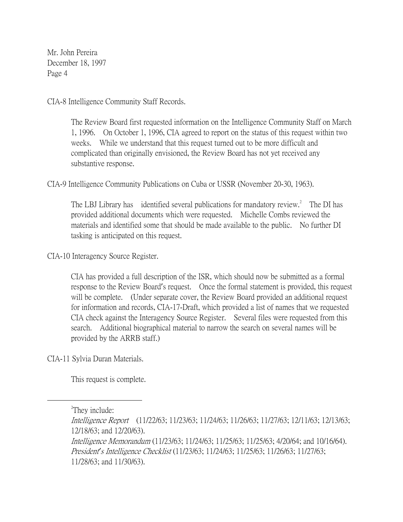CIA-8 Intelligence Community Staff Records.

The Review Board first requested information on the Intelligence Community Staff on March 1, 1996. On October 1, 1996, CIA agreed to report on the status of this request within two weeks. While we understand that this request turned out to be more difficult and complicated than originally envisioned, the Review Board has not yet received any substantive response.

CIA-9 Intelligence Community Publications on Cuba or USSR (November 20-30, 1963).

The LBJ Library has identified several publications for mandatory review.<sup>2</sup> The DI has provided additional documents which were requested. Michelle Combs reviewed the materials and identified some that should be made available to the public. No further DI tasking is anticipated on this request.

CIA-10 Interagency Source Register.

CIA has provided a full description of the ISR, which should now be submitted as a formal response to the Review Board's request. Once the formal statement is provided, this request will be complete. (Under separate cover, the Review Board provided an additional request for information and records, CIA-17-Draft, which provided a list of names that we requested CIA check against the Interagency Source Register. Several files were requested from this search. Additional biographical material to narrow the search on several names will be provided by the ARRB staff.)

CIA-11 Sylvia Duran Materials.

This request is complete.

 $\overline{a}$ 

<sup>&</sup>lt;sup>2</sup>They include:

Intelligence Report (11/22/63; 11/23/63; 11/24/63; 11/26/63; 11/27/63; 12/11/63; 12/13/63; 12/18/63; and 12/20/63).

Intelligence Memorandum (11/23/63; 11/24/63; 11/25/63; 11/25/63; 4/20/64; and 10/16/64). President*'*s Intelligence Checklist (11/23/63; 11/24/63; 11/25/63; 11/26/63; 11/27/63; 11/28/63; and 11/30/63).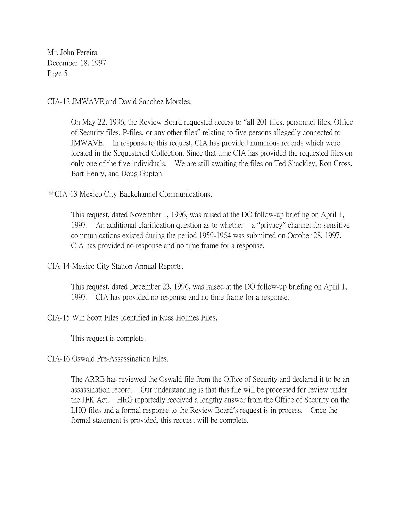CIA-12 JMWAVE and David Sanchez Morales.

On May 22, 1996, the Review Board requested access to "all 201 files, personnel files, Office of Security files, P-files, or any other files" relating to five persons allegedly connected to JMWAVE. In response to this request, CIA has provided numerous records which were located in the Sequestered Collection. Since that time CIA has provided the requested files on only one of the five individuals. We are still awaiting the files on Ted Shackley, Ron Cross, Bart Henry, and Doug Gupton.

\*\*CIA-13 Mexico City Backchannel Communications.

This request, dated November 1, 1996, was raised at the DO follow-up briefing on April 1, 1997. An additional clarification question as to whether a "privacy" channel for sensitive communications existed during the period 1959-1964 was submitted on October 28, 1997. CIA has provided no response and no time frame for a response.

CIA-14 Mexico City Station Annual Reports.

This request, dated December 23, 1996, was raised at the DO follow-up briefing on April 1, 1997. CIA has provided no response and no time frame for a response.

CIA-15 Win Scott Files Identified in Russ Holmes Files.

This request is complete.

CIA-16 Oswald Pre-Assassination Files.

The ARRB has reviewed the Oswald file from the Office of Security and declared it to be an assassination record. Our understanding is that this file will be processed for review under the JFK Act. HRG reportedly received a lengthy answer from the Office of Security on the LHO files and a formal response to the Review Board's request is in process. Once the formal statement is provided, this request will be complete.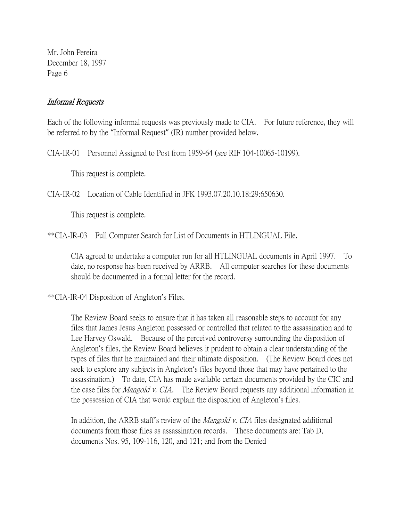## Informal Requests

Each of the following informal requests was previously made to CIA. For future reference, they will be referred to by the "Informal Request" (IR) number provided below.

CIA-IR-01 Personnel Assigned to Post from 1959-64 (see RIF 104-10065-10199).

This request is complete.

CIA-IR-02 Location of Cable Identified in JFK 1993.07.20.10.18:29:650630.

This request is complete.

\*\*CIA-IR-03 Full Computer Search for List of Documents in HTLINGUAL File.

CIA agreed to undertake a computer run for all HTLINGUAL documents in April 1997. To date, no response has been received by ARRB. All computer searches for these documents should be documented in a formal letter for the record.

\*\*CIA-IR-04 Disposition of Angleton's Files.

The Review Board seeks to ensure that it has taken all reasonable steps to account for any files that James Jesus Angleton possessed or controlled that related to the assassination and to Lee Harvey Oswald. Because of the perceived controversy surrounding the disposition of Angleton's files, the Review Board believes it prudent to obtain a clear understanding of the types of files that he maintained and their ultimate disposition. (The Review Board does not seek to explore any subjects in Angleton's files beyond those that may have pertained to the assassination.) To date, CIA has made available certain documents provided by the CIC and the case files for Mangold v. CIA. The Review Board requests any additional information in the possession of CIA that would explain the disposition of Angleton's files.

In addition, the ARRB staff's review of the *Mangold v. CIA* files designated additional documents from those files as assassination records. These documents are: Tab D, documents Nos. 95, 109-116, 120, and 121; and from the Denied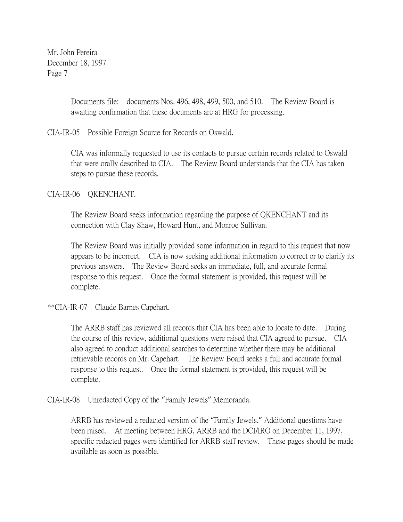> Documents file: documents Nos. 496, 498, 499, 500, and 510. The Review Board is awaiting confirmation that these documents are at HRG for processing.

CIA-IR-05 Possible Foreign Source for Records on Oswald.

CIA was informally requested to use its contacts to pursue certain records related to Oswald that were orally described to CIA. The Review Board understands that the CIA has taken steps to pursue these records.

CIA-IR-06 QKENCHANT.

The Review Board seeks information regarding the purpose of QKENCHANT and its connection with Clay Shaw, Howard Hunt, and Monroe Sullivan.

The Review Board was initially provided some information in regard to this request that now appears to be incorrect. CIA is now seeking additional information to correct or to clarify its previous answers. The Review Board seeks an immediate, full, and accurate formal response to this request. Once the formal statement is provided, this request will be complete.

\*\*CIA-IR-07 Claude Barnes Capehart.

The ARRB staff has reviewed all records that CIA has been able to locate to date. During the course of this review, additional questions were raised that CIA agreed to pursue. CIA also agreed to conduct additional searches to determine whether there may be additional retrievable records on Mr. Capehart. The Review Board seeks a full and accurate formal response to this request. Once the formal statement is provided, this request will be complete.

CIA-IR-08 Unredacted Copy of the "Family Jewels" Memoranda.

ARRB has reviewed a redacted version of the "Family Jewels." Additional questions have been raised. At meeting between HRG, ARRB and the DCI/IRO on December 11, 1997, specific redacted pages were identified for ARRB staff review. These pages should be made available as soon as possible.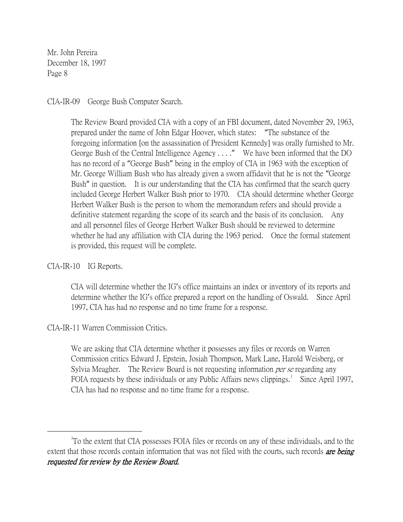### CIA-IR-09 George Bush Computer Search.

The Review Board provided CIA with a copy of an FBI document, dated November 29, 1963, prepared under the name of John Edgar Hoover, which states: "The substance of the foregoing information [on the assassination of President Kennedy] was orally furnished to Mr. George Bush of the Central Intelligence Agency . . . ." We have been informed that the DO has no record of a "George Bush" being in the employ of CIA in 1963 with the exception of Mr. George William Bush who has already given a sworn affidavit that he is not the "George Bush" in question. It is our understanding that the CIA has confirmed that the search query included George Herbert Walker Bush prior to 1970. CIA should determine whether George Herbert Walker Bush is the person to whom the memorandum refers and should provide a definitive statement regarding the scope of its search and the basis of its conclusion. Any and all personnel files of George Herbert Walker Bush should be reviewed to determine whether he had any affiliation with CIA during the 1963 period. Once the formal statement is provided, this request will be complete.

### CIA-IR-10 IG Reports.

 $\overline{a}$ 

CIA will determine whether the IG's office maintains an index or inventory of its reports and determine whether the IG's office prepared a report on the handling of Oswald. Since April 1997, CIA has had no response and no time frame for a response.

# CIA-IR-11 Warren Commission Critics.

We are asking that CIA determine whether it possesses any files or records on Warren Commission critics Edward J. Epstein, Josiah Thompson, Mark Lane, Harold Weisberg, or Sylvia Meagher. The Review Board is not requesting information *per se* regarding any FOIA requests by these individuals or any Public Affairs news clippings.<sup>3</sup> Since April 1997, CIA has had no response and no time frame for a response.

<sup>&</sup>lt;sup>3</sup>To the extent that CIA possesses FOIA files or records on any of these individuals, and to the extent that those records contain information that was not filed with the courts, such records **are being** requested for review by the Review Board.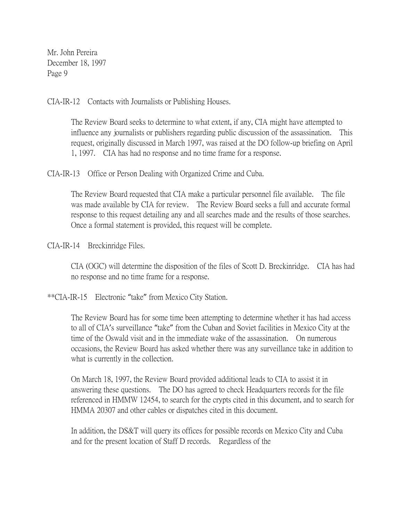CIA-IR-12 Contacts with Journalists or Publishing Houses.

The Review Board seeks to determine to what extent, if any, CIA might have attempted to influence any journalists or publishers regarding public discussion of the assassination. This request, originally discussed in March 1997, was raised at the DO follow-up briefing on April 1, 1997. CIA has had no response and no time frame for a response.

CIA-IR-13 Office or Person Dealing with Organized Crime and Cuba.

The Review Board requested that CIA make a particular personnel file available. The file was made available by CIA for review. The Review Board seeks a full and accurate formal response to this request detailing any and all searches made and the results of those searches. Once a formal statement is provided, this request will be complete.

CIA-IR-14 Breckinridge Files.

CIA (OGC) will determine the disposition of the files of Scott D. Breckinridge. CIA has had no response and no time frame for a response.

\*\*CIA-IR-15 Electronic "take" from Mexico City Station.

The Review Board has for some time been attempting to determine whether it has had access to all of CIA's surveillance "take" from the Cuban and Soviet facilities in Mexico City at the time of the Oswald visit and in the immediate wake of the assassination. On numerous occasions, the Review Board has asked whether there was any surveillance take in addition to what is currently in the collection.

On March 18, 1997, the Review Board provided additional leads to CIA to assist it in answering these questions. The DO has agreed to check Headquarters records for the file referenced in HMMW 12454, to search for the crypts cited in this document, and to search for HMMA 20307 and other cables or dispatches cited in this document.

In addition, the DS&T will query its offices for possible records on Mexico City and Cuba and for the present location of Staff D records. Regardless of the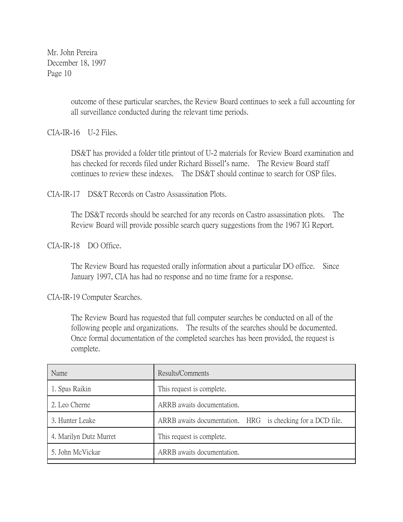> outcome of these particular searches, the Review Board continues to seek a full accounting for all surveillance conducted during the relevant time periods.

CIA-IR-16 U-2 Files.

DS&T has provided a folder title printout of U-2 materials for Review Board examination and has checked for records filed under Richard Bissell's name. The Review Board staff continues to review these indexes. The DS&T should continue to search for OSP files.

CIA-IR-17 DS&T Records on Castro Assassination Plots.

The DS&T records should be searched for any records on Castro assassination plots. The Review Board will provide possible search query suggestions from the 1967 IG Report.

CIA-IR-18 DO Office.

The Review Board has requested orally information about a particular DO office. Since January 1997, CIA has had no response and no time frame for a response.

CIA-IR-19 Computer Searches.

The Review Board has requested that full computer searches be conducted on all of the following people and organizations. The results of the searches should be documented. Once formal documentation of the completed searches has been provided, the request is complete.

| Name                   | Results/Comments                                           |
|------------------------|------------------------------------------------------------|
| 1. Spas Raikin         | This request is complete.                                  |
| 2. Leo Cherne          | ARRB awaits documentation.                                 |
| 3. Hunter Leake        | ARRB awaits documentation. HRG is checking for a DCD file. |
| 4. Marilyn Dutz Murret | This request is complete.                                  |
| 5. John McVickar       | ARRB awaits documentation.                                 |
|                        |                                                            |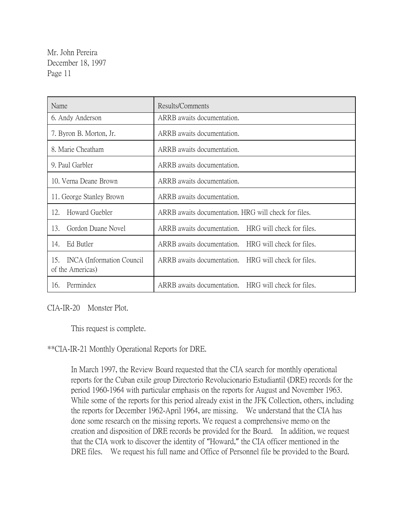| Name                                                        | Results/Comments                                        |
|-------------------------------------------------------------|---------------------------------------------------------|
| 6. Andy Anderson                                            | ARRB awaits documentation.                              |
| 7. Byron B. Morton, Jr.                                     | ARRB awaits documentation.                              |
| 8. Marie Cheatham                                           | ARRB awaits documentation.                              |
| 9. Paul Garbler                                             | ARRB awaits documentation.                              |
| 10. Verna Deane Brown                                       | ARRB awaits documentation.                              |
| 11. George Stanley Brown                                    | ARRB awaits documentation.                              |
| Howard Guebler<br>12.                                       | ARRB awaits documentation. HRG will check for files.    |
| Gordon Duane Novel<br>13.                                   | ARRB awaits documentation.<br>HRG will check for files. |
| Ed Butler<br>14.                                            | ARRB awaits documentation.<br>HRG will check for files. |
| 15.<br><b>INCA</b> (Information Council<br>of the Americas) | ARRB awaits documentation.<br>HRG will check for files. |
| Permindex<br>16.                                            | ARRB awaits documentation. HRG will check for files.    |

CIA-IR-20 Monster Plot.

This request is complete.

\*\*CIA-IR-21 Monthly Operational Reports for DRE.

In March 1997, the Review Board requested that the CIA search for monthly operational reports for the Cuban exile group Directorio Revolucionario Estudiantil (DRE) records for the period 1960-1964 with particular emphasis on the reports for August and November 1963. While some of the reports for this period already exist in the JFK Collection, others, including the reports for December 1962-April 1964, are missing. We understand that the CIA has done some research on the missing reports. We request a comprehensive memo on the creation and disposition of DRE records be provided for the Board. In addition, we request that the CIA work to discover the identity of "Howard," the CIA officer mentioned in the DRE files. We request his full name and Office of Personnel file be provided to the Board.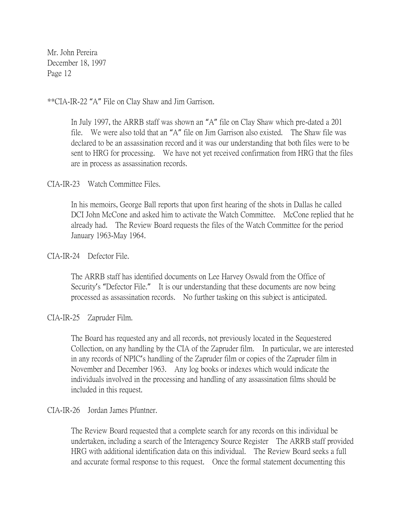\*\*CIA-IR-22 "A" File on Clay Shaw and Jim Garrison.

In July 1997, the ARRB staff was shown an "A" file on Clay Shaw which pre-dated a 201 file. We were also told that an "A" file on Jim Garrison also existed. The Shaw file was declared to be an assassination record and it was our understanding that both files were to be sent to HRG for processing. We have not yet received confirmation from HRG that the files are in process as assassination records.

CIA-IR-23 Watch Committee Files.

In his memoirs, George Ball reports that upon first hearing of the shots in Dallas he called DCI John McCone and asked him to activate the Watch Committee. McCone replied that he already had. The Review Board requests the files of the Watch Committee for the period January 1963-May 1964.

#### CIA-IR-24 Defector File.

The ARRB staff has identified documents on Lee Harvey Oswald from the Office of Security's "Defector File." It is our understanding that these documents are now being processed as assassination records. No further tasking on this subject is anticipated.

CIA-IR-25 Zapruder Film.

The Board has requested any and all records, not previously located in the Sequestered Collection, on any handling by the CIA of the Zapruder film. In particular, we are interested in any records of NPIC's handling of the Zapruder film or copies of the Zapruder film in November and December 1963. Any log books or indexes which would indicate the individuals involved in the processing and handling of any assassination films should be included in this request.

#### CIA-IR-26 Jordan James Pfuntner.

The Review Board requested that a complete search for any records on this individual be undertaken, including a search of the Interagency Source Register The ARRB staff provided HRG with additional identification data on this individual. The Review Board seeks a full and accurate formal response to this request. Once the formal statement documenting this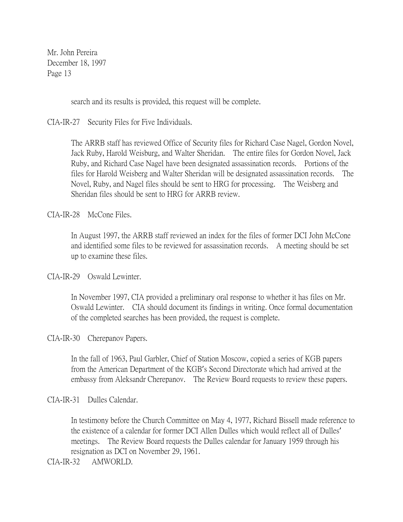search and its results is provided, this request will be complete.

CIA-IR-27 Security Files for Five Individuals.

The ARRB staff has reviewed Office of Security files for Richard Case Nagel, Gordon Novel, Jack Ruby, Harold Weisburg, and Walter Sheridan. The entire files for Gordon Novel, Jack Ruby, and Richard Case Nagel have been designated assassination records. Portions of the files for Harold Weisberg and Walter Sheridan will be designated assassination records. The Novel, Ruby, and Nagel files should be sent to HRG for processing. The Weisberg and Sheridan files should be sent to HRG for ARRB review.

CIA-IR-28 McCone Files.

In August 1997, the ARRB staff reviewed an index for the files of former DCI John McCone and identified some files to be reviewed for assassination records. A meeting should be set up to examine these files.

CIA-IR-29 Oswald Lewinter.

In November 1997, CIA provided a preliminary oral response to whether it has files on Mr. Oswald Lewinter. CIA should document its findings in writing. Once formal documentation of the completed searches has been provided, the request is complete.

CIA-IR-30 Cherepanov Papers.

In the fall of 1963, Paul Garbler, Chief of Station Moscow, copied a series of KGB papers from the American Department of the KGB's Second Directorate which had arrived at the embassy from Aleksandr Cherepanov. The Review Board requests to review these papers.

CIA-IR-31 Dulles Calendar.

In testimony before the Church Committee on May 4, 1977, Richard Bissell made reference to the existence of a calendar for former DCI Allen Dulles which would reflect all of Dulles' meetings. The Review Board requests the Dulles calendar for January 1959 through his resignation as DCI on November 29, 1961.

CIA-IR-32 AMWORLD.